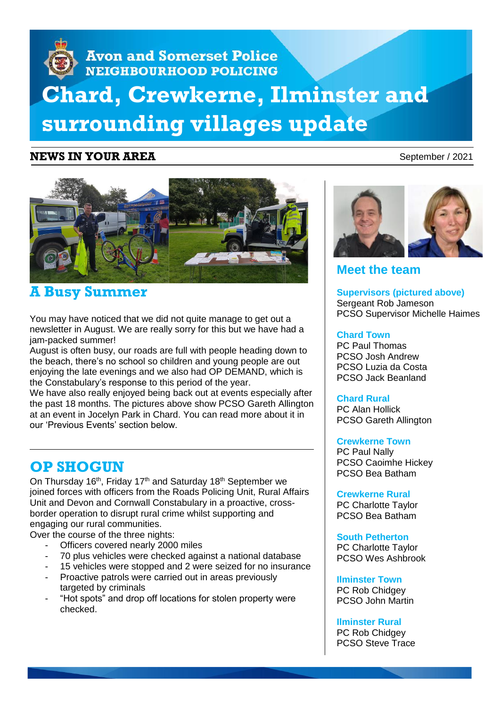# **Avon and Somerset Police** NEIGHBOURHOOD POLICING **Chard, Crewkerne, Ilminster and surrounding villages update**

## **NEWS IN YOUR AREA** September / 2021



## **A Busy Summer**

You may have noticed that we did not quite manage to get out a newsletter in August. We are really sorry for this but we have had a jam-packed summer!

August is often busy, our roads are full with people heading down to the beach, there's no school so children and young people are out enjoying the late evenings and we also had OP DEMAND, which is the Constabulary's response to this period of the year.

We have also really enjoyed being back out at events especially after the past 18 months. The pictures above show PCSO Gareth Allington at an event in Jocelyn Park in Chard. You can read more about it in our 'Previous Events' section below.

## **OP SHOGUN**

On Thursday 16<sup>th</sup>, Friday 17<sup>th</sup> and Saturday 18<sup>th</sup> September we joined forces with officers from the Roads Policing Unit, Rural Affairs Unit and Devon and Cornwall Constabulary in a proactive, crossborder operation to disrupt rural crime whilst supporting and engaging our rural communities.

Over the course of the three nights:

- Officers covered nearly 2000 miles
- 70 plus vehicles were checked against a national database
- 15 vehicles were stopped and 2 were seized for no insurance
- Proactive patrols were carried out in areas previously targeted by criminals
- "Hot spots" and drop off locations for stolen property were checked.



## **Meet the team**

**Supervisors (pictured above)** Sergeant Rob Jameson PCSO Supervisor Michelle Haimes

#### **Chard Town**

PC Paul Thomas PCSO Josh Andrew PCSO Luzia da Costa PCSO Jack Beanland

## **Chard Rural**

PC Alan Hollick PCSO Gareth Allington

## **Crewkerne Town**

PC Paul Nally PCSO Caoimhe Hickey PCSO Bea Batham

#### **Crewkerne Rural**

PC Charlotte Taylor PCSO Bea Batham

**South Petherton** PC Charlotte Taylor

PCSO Wes Ashbrook

**Ilminster Town** PC Rob Chidgey PCSO John Martin

## **Ilminster Rural**

PC Rob Chidgey PCSO Steve Trace